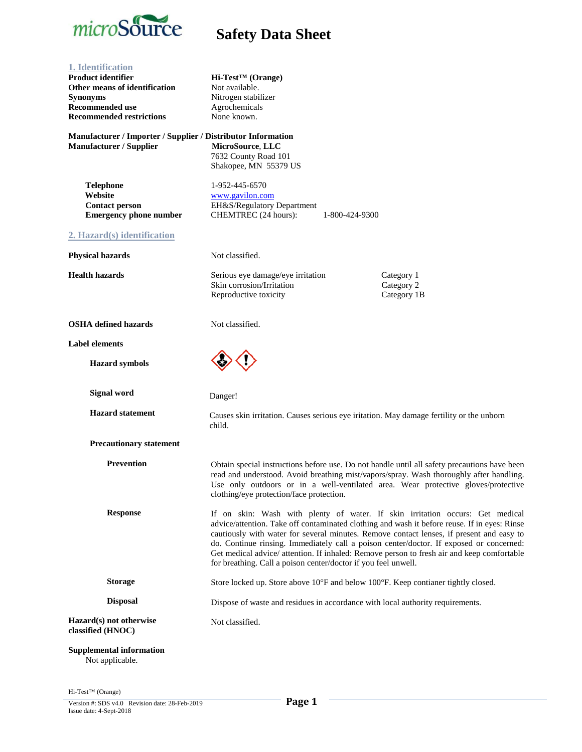

| 1. Identification<br><b>Product identifier</b><br>Other means of identification<br><b>Synonyms</b><br><b>Recommended use</b><br><b>Recommended restrictions</b><br>Manufacturer / Importer / Supplier / Distributor Information | $Hi-Test^{TM}$ (Orange)<br>Not available.<br>Nitrogen stabilizer<br>Agrochemicals<br>None known.                                                                                                                                                                                                                                                                                                                                                                                                                                     |                                         |
|---------------------------------------------------------------------------------------------------------------------------------------------------------------------------------------------------------------------------------|--------------------------------------------------------------------------------------------------------------------------------------------------------------------------------------------------------------------------------------------------------------------------------------------------------------------------------------------------------------------------------------------------------------------------------------------------------------------------------------------------------------------------------------|-----------------------------------------|
| <b>Manufacturer / Supplier</b>                                                                                                                                                                                                  | MicroSource, LLC<br>7632 County Road 101<br>Shakopee, MN 55379 US                                                                                                                                                                                                                                                                                                                                                                                                                                                                    |                                         |
| <b>Telephone</b><br>Website<br><b>Contact person</b><br><b>Emergency phone number</b>                                                                                                                                           | 1-952-445-6570<br>www.gavilon.com<br>EH&S/Regulatory Department<br>CHEMTREC (24 hours):<br>1-800-424-9300                                                                                                                                                                                                                                                                                                                                                                                                                            |                                         |
| 2. Hazard(s) identification                                                                                                                                                                                                     |                                                                                                                                                                                                                                                                                                                                                                                                                                                                                                                                      |                                         |
| <b>Physical hazards</b>                                                                                                                                                                                                         | Not classified.                                                                                                                                                                                                                                                                                                                                                                                                                                                                                                                      |                                         |
| <b>Health hazards</b>                                                                                                                                                                                                           | Serious eye damage/eye irritation<br>Skin corrosion/Irritation<br>Reproductive toxicity                                                                                                                                                                                                                                                                                                                                                                                                                                              | Category 1<br>Category 2<br>Category 1B |
| <b>OSHA</b> defined hazards                                                                                                                                                                                                     | Not classified.                                                                                                                                                                                                                                                                                                                                                                                                                                                                                                                      |                                         |
| <b>Label elements</b>                                                                                                                                                                                                           |                                                                                                                                                                                                                                                                                                                                                                                                                                                                                                                                      |                                         |
| <b>Hazard</b> symbols                                                                                                                                                                                                           |                                                                                                                                                                                                                                                                                                                                                                                                                                                                                                                                      |                                         |
| <b>Signal word</b>                                                                                                                                                                                                              | Danger!                                                                                                                                                                                                                                                                                                                                                                                                                                                                                                                              |                                         |
| <b>Hazard statement</b>                                                                                                                                                                                                         | Causes skin irritation. Causes serious eye iritation. May damage fertility or the unborn<br>child.                                                                                                                                                                                                                                                                                                                                                                                                                                   |                                         |
| <b>Precautionary statement</b>                                                                                                                                                                                                  |                                                                                                                                                                                                                                                                                                                                                                                                                                                                                                                                      |                                         |
| <b>Prevention</b>                                                                                                                                                                                                               | Obtain special instructions before use. Do not handle until all safety precautions have been<br>read and understood. Avoid breathing mist/vapors/spray. Wash thoroughly after handling.<br>Use only outdoors or in a well-ventilated area. Wear protective gloves/protective<br>clothing/eye protection/face protection.                                                                                                                                                                                                             |                                         |
| <b>Response</b>                                                                                                                                                                                                                 | If on skin: Wash with plenty of water. If skin irritation occurs: Get medical<br>advice/attention. Take off contaminated clothing and wash it before reuse. If in eyes: Rinse<br>cautiously with water for several minutes. Remove contact lenses, if present and easy to<br>do. Continue rinsing. Immediately call a poison center/doctor. If exposed or concerned:<br>Get medical advice/ attention. If inhaled: Remove person to fresh air and keep comfortable<br>for breathing. Call a poison center/doctor if you feel unwell. |                                         |
| <b>Storage</b>                                                                                                                                                                                                                  | Store locked up. Store above 10°F and below 100°F. Keep contianer tightly closed.                                                                                                                                                                                                                                                                                                                                                                                                                                                    |                                         |
| <b>Disposal</b>                                                                                                                                                                                                                 | Dispose of waste and residues in accordance with local authority requirements.                                                                                                                                                                                                                                                                                                                                                                                                                                                       |                                         |
| Hazard(s) not otherwise<br>classified (HNOC)                                                                                                                                                                                    | Not classified.                                                                                                                                                                                                                                                                                                                                                                                                                                                                                                                      |                                         |
| <b>Supplemental information</b><br>Not applicable.                                                                                                                                                                              |                                                                                                                                                                                                                                                                                                                                                                                                                                                                                                                                      |                                         |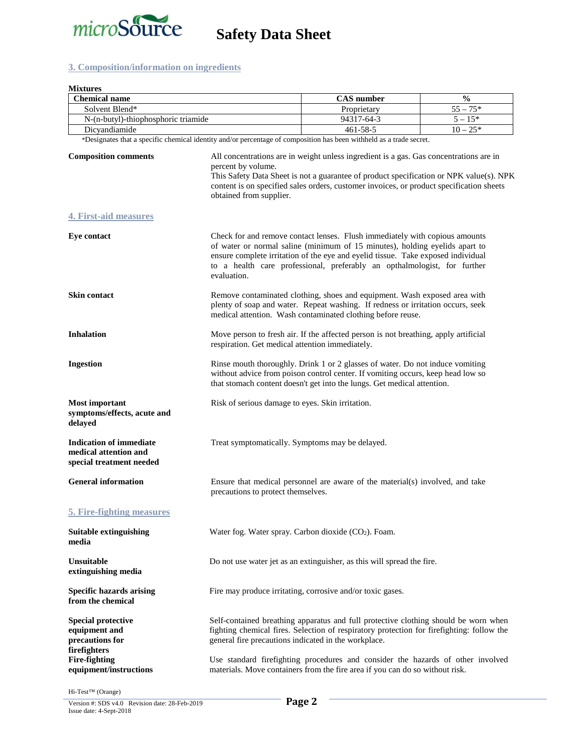

### **3. Composition/information on ingredients**

| <b>Mixtures</b>                                                                     |                                                                                                                                                                                                                                                                                                                                                                                                                                                       |                                                                                                                                                                                                                                                                                                                            |               |
|-------------------------------------------------------------------------------------|-------------------------------------------------------------------------------------------------------------------------------------------------------------------------------------------------------------------------------------------------------------------------------------------------------------------------------------------------------------------------------------------------------------------------------------------------------|----------------------------------------------------------------------------------------------------------------------------------------------------------------------------------------------------------------------------------------------------------------------------------------------------------------------------|---------------|
| <b>Chemical name</b>                                                                |                                                                                                                                                                                                                                                                                                                                                                                                                                                       | <b>CAS</b> number                                                                                                                                                                                                                                                                                                          | $\frac{0}{0}$ |
| Solvent Blend*                                                                      |                                                                                                                                                                                                                                                                                                                                                                                                                                                       | Proprietary                                                                                                                                                                                                                                                                                                                | $55 - 75*$    |
| N-(n-butyl)-thiophosphoric triamide                                                 |                                                                                                                                                                                                                                                                                                                                                                                                                                                       | 94317-64-3<br>$461 - 58 - 5$                                                                                                                                                                                                                                                                                               | $5 - 15*$     |
| Dicyandiamide                                                                       |                                                                                                                                                                                                                                                                                                                                                                                                                                                       |                                                                                                                                                                                                                                                                                                                            | $10 - 25*$    |
| <b>Composition comments</b>                                                         | *Designates that a specific chemical identity and/or percentage of composition has been withheld as a trade secret.<br>All concentrations are in weight unless ingredient is a gas. Gas concentrations are in<br>percent by volume.<br>This Safety Data Sheet is not a guarantee of product specification or NPK value(s). NPK<br>content is on specified sales orders, customer invoices, or product specification sheets<br>obtained from supplier. |                                                                                                                                                                                                                                                                                                                            |               |
| <b>4. First-aid measures</b>                                                        |                                                                                                                                                                                                                                                                                                                                                                                                                                                       |                                                                                                                                                                                                                                                                                                                            |               |
| <b>Eye contact</b>                                                                  | evaluation.                                                                                                                                                                                                                                                                                                                                                                                                                                           | Check for and remove contact lenses. Flush immediately with copious amounts<br>of water or normal saline (minimum of 15 minutes), holding eyelids apart to<br>ensure complete irritation of the eye and eyelid tissue. Take exposed individual<br>to a health care professional, preferably an opthalmologist, for further |               |
| <b>Skin contact</b>                                                                 |                                                                                                                                                                                                                                                                                                                                                                                                                                                       | Remove contaminated clothing, shoes and equipment. Wash exposed area with<br>plenty of soap and water. Repeat washing. If redness or irritation occurs, seek<br>medical attention. Wash contaminated clothing before reuse.                                                                                                |               |
| <b>Inhalation</b>                                                                   | Move person to fresh air. If the affected person is not breathing, apply artificial<br>respiration. Get medical attention immediately.                                                                                                                                                                                                                                                                                                                |                                                                                                                                                                                                                                                                                                                            |               |
| <b>Ingestion</b>                                                                    | Rinse mouth thoroughly. Drink 1 or 2 glasses of water. Do not induce vomiting<br>without advice from poison control center. If vomiting occurs, keep head low so<br>that stomach content doesn't get into the lungs. Get medical attention.                                                                                                                                                                                                           |                                                                                                                                                                                                                                                                                                                            |               |
| <b>Most important</b><br>symptoms/effects, acute and<br>delayed                     | Risk of serious damage to eyes. Skin irritation.                                                                                                                                                                                                                                                                                                                                                                                                      |                                                                                                                                                                                                                                                                                                                            |               |
| <b>Indication of immediate</b><br>medical attention and<br>special treatment needed | Treat symptomatically. Symptoms may be delayed.                                                                                                                                                                                                                                                                                                                                                                                                       |                                                                                                                                                                                                                                                                                                                            |               |
| <b>General information</b>                                                          | precautions to protect themselves.                                                                                                                                                                                                                                                                                                                                                                                                                    | Ensure that medical personnel are aware of the material(s) involved, and take                                                                                                                                                                                                                                              |               |
| 5. Fire-fighting measures                                                           |                                                                                                                                                                                                                                                                                                                                                                                                                                                       |                                                                                                                                                                                                                                                                                                                            |               |
| Suitable extinguishing<br>media                                                     |                                                                                                                                                                                                                                                                                                                                                                                                                                                       | Water fog. Water spray. Carbon dioxide (CO2). Foam.                                                                                                                                                                                                                                                                        |               |
| <b>Unsuitable</b><br>extinguishing media                                            |                                                                                                                                                                                                                                                                                                                                                                                                                                                       | Do not use water jet as an extinguisher, as this will spread the fire.                                                                                                                                                                                                                                                     |               |
| <b>Specific hazards arising</b><br>from the chemical                                |                                                                                                                                                                                                                                                                                                                                                                                                                                                       | Fire may produce irritating, corrosive and/or toxic gases.                                                                                                                                                                                                                                                                 |               |
| <b>Special protective</b><br>equipment and<br>precautions for<br>firefighters       | general fire precautions indicated in the workplace.                                                                                                                                                                                                                                                                                                                                                                                                  | Self-contained breathing apparatus and full protective clothing should be worn when<br>fighting chemical fires. Selection of respiratory protection for firefighting: follow the                                                                                                                                           |               |
| <b>Fire-fighting</b><br>equipment/instructions                                      |                                                                                                                                                                                                                                                                                                                                                                                                                                                       | Use standard firefighting procedures and consider the hazards of other involved<br>materials. Move containers from the fire area if you can do so without risk.                                                                                                                                                            |               |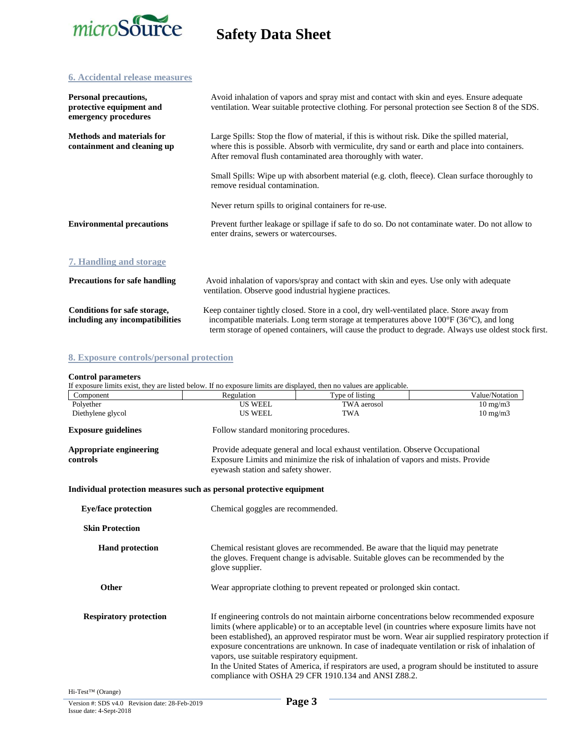

### **6. Accidental release measures**

| Personal precautions,<br>protective equipment and<br>emergency procedures | Avoid inhalation of vapors and spray mist and contact with skin and eyes. Ensure adequate<br>ventilation. Wear suitable protective clothing. For personal protection see Section 8 of the SDS.                                                                                                               |
|---------------------------------------------------------------------------|--------------------------------------------------------------------------------------------------------------------------------------------------------------------------------------------------------------------------------------------------------------------------------------------------------------|
| <b>Methods and materials for</b><br>containment and cleaning up           | Large Spills: Stop the flow of material, if this is without risk. Dike the spilled material,<br>where this is possible. Absorb with vermiculite, dry sand or earth and place into containers.<br>After removal flush contaminated area thoroughly with water.                                                |
|                                                                           | Small Spills: Wipe up with absorbent material (e.g. cloth, fleece). Clean surface thoroughly to<br>remove residual contamination.                                                                                                                                                                            |
|                                                                           | Never return spills to original containers for re-use.                                                                                                                                                                                                                                                       |
| <b>Environmental precautions</b>                                          | Prevent further leakage or spillage if safe to do so. Do not contaminate water. Do not allow to<br>enter drains, sewers or watercourses.                                                                                                                                                                     |
| 7. Handling and storage                                                   |                                                                                                                                                                                                                                                                                                              |
| <b>Precautions for safe handling</b>                                      | Avoid inhalation of vapors/spray and contact with skin and eyes. Use only with adequate<br>ventilation. Observe good industrial hygiene practices.                                                                                                                                                           |
| Conditions for safe storage,<br>including any incompatibilities           | Keep container tightly closed. Store in a cool, dry well-ventilated place. Store away from<br>incompatible materials. Long term storage at temperatures above $100^{\circ}F(36^{\circ}C)$ , and long<br>term storage of opened containers, will cause the product to degrade. Always use oldest stock first. |

### **8. Exposure controls/personal protection**

### **Control parameters**

| If exposure limits exist, they are listed below. If no exposure limits are displayed, then no values are applicable. |                                                                                                                                                                                                                                                                                                                                                                                                                                                                                                                                                                                                                       |                                                                                                                        |                   |  |
|----------------------------------------------------------------------------------------------------------------------|-----------------------------------------------------------------------------------------------------------------------------------------------------------------------------------------------------------------------------------------------------------------------------------------------------------------------------------------------------------------------------------------------------------------------------------------------------------------------------------------------------------------------------------------------------------------------------------------------------------------------|------------------------------------------------------------------------------------------------------------------------|-------------------|--|
| Component                                                                                                            | Regulation                                                                                                                                                                                                                                                                                                                                                                                                                                                                                                                                                                                                            | Type of listing                                                                                                        | Value/Notation    |  |
| Polyether                                                                                                            | <b>US WEEL</b>                                                                                                                                                                                                                                                                                                                                                                                                                                                                                                                                                                                                        | TWA aerosol                                                                                                            | $10 \text{ mg/m}$ |  |
| Diethylene glycol                                                                                                    | <b>US WEEL</b>                                                                                                                                                                                                                                                                                                                                                                                                                                                                                                                                                                                                        | <b>TWA</b>                                                                                                             | $10 \text{ mg/m}$ |  |
| <b>Exposure guidelines</b>                                                                                           | Follow standard monitoring procedures.                                                                                                                                                                                                                                                                                                                                                                                                                                                                                                                                                                                |                                                                                                                        |                   |  |
| <b>Appropriate engineering</b>                                                                                       |                                                                                                                                                                                                                                                                                                                                                                                                                                                                                                                                                                                                                       | Provide adequate general and local exhaust ventilation. Observe Occupational                                           |                   |  |
| controls                                                                                                             |                                                                                                                                                                                                                                                                                                                                                                                                                                                                                                                                                                                                                       | Exposure Limits and minimize the risk of inhalation of vapors and mists. Provide<br>eyewash station and safety shower. |                   |  |
| Individual protection measures such as personal protective equipment                                                 |                                                                                                                                                                                                                                                                                                                                                                                                                                                                                                                                                                                                                       |                                                                                                                        |                   |  |
| <b>Eye/face protection</b>                                                                                           |                                                                                                                                                                                                                                                                                                                                                                                                                                                                                                                                                                                                                       | Chemical goggles are recommended.                                                                                      |                   |  |
| <b>Skin Protection</b>                                                                                               |                                                                                                                                                                                                                                                                                                                                                                                                                                                                                                                                                                                                                       |                                                                                                                        |                   |  |
| <b>Hand protection</b>                                                                                               | Chemical resistant gloves are recommended. Be aware that the liquid may penetrate<br>the gloves. Frequent change is advisable. Suitable gloves can be recommended by the<br>glove supplier.                                                                                                                                                                                                                                                                                                                                                                                                                           |                                                                                                                        |                   |  |
| Other                                                                                                                |                                                                                                                                                                                                                                                                                                                                                                                                                                                                                                                                                                                                                       | Wear appropriate clothing to prevent repeated or prolonged skin contact.                                               |                   |  |
| <b>Respiratory protection</b>                                                                                        | If engineering controls do not maintain airborne concentrations below recommended exposure<br>limits (where applicable) or to an acceptable level (in countries where exposure limits have not<br>been established), an approved respirator must be worn. Wear air supplied respiratory protection if<br>exposure concentrations are unknown. In case of inadequate ventilation or risk of inhalation of<br>vapors, use suitable respiratory equipment.<br>In the United States of America, if respirators are used, a program should be instituted to assure<br>compliance with OSHA 29 CFR 1910.134 and ANSI Z88.2. |                                                                                                                        |                   |  |
| Hi-Test™ (Orange)                                                                                                    |                                                                                                                                                                                                                                                                                                                                                                                                                                                                                                                                                                                                                       |                                                                                                                        |                   |  |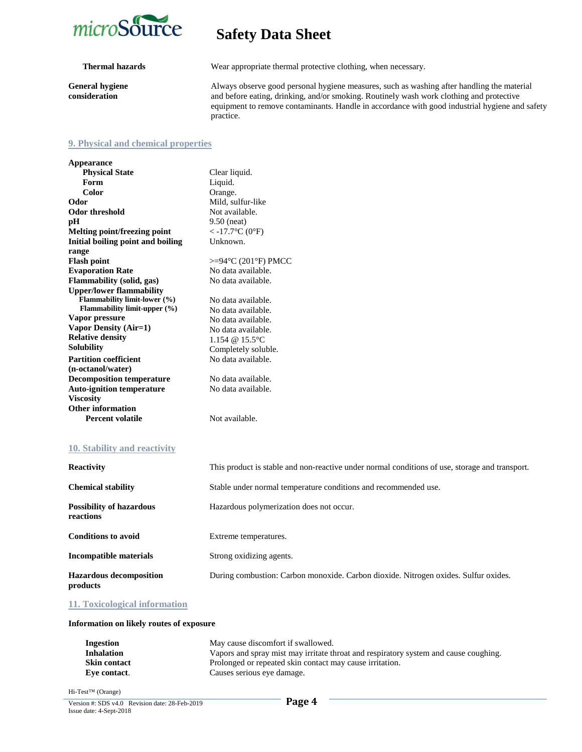

**General hygiene consideration**

**Thermal hazards** Wear appropriate thermal protective clothing, when necessary.

Always observe good personal hygiene measures, such as washing after handling the material and before eating, drinking, and/or smoking. Routinely wash work clothing and protective equipment to remove contaminants. Handle in accordance with good industrial hygiene and safety practice.

### **9. Physical and chemical properties**

| <b>Appearance</b>                   |                        |
|-------------------------------------|------------------------|
| <b>Physical State</b>               | Clear liquid.          |
| Form                                | Liquid.                |
| Color                               | Orange.                |
| Odor                                | Mild, sulfur-like      |
| <b>Odor threshold</b>               | Not available.         |
| pH                                  | $9.50$ (neat)          |
| Melting point/freezing point        | $<$ -17.7°C (0°F)      |
| Initial boiling point and boiling   | Unknown.               |
| range                               |                        |
| <b>Flash point</b>                  | $>=94$ °C (201°F) PMCC |
| <b>Evaporation Rate</b>             | No data available.     |
| <b>Flammability (solid, gas)</b>    | No data available.     |
| <b>Upper/lower flammability</b>     |                        |
| Flammability limit-lower (%)        | No data available.     |
| <b>Flammability limit-upper (%)</b> | No data available.     |
| Vapor pressure                      | No data available.     |
| Vapor Density (Air=1)               | No data available.     |
| <b>Relative density</b>             | 1.154 @ 15.5°C         |
| <b>Solubility</b>                   | Completely soluble.    |
| <b>Partition coefficient</b>        | No data available.     |
| (n-octanol/water)                   |                        |
| <b>Decomposition temperature</b>    | No data available.     |
| <b>Auto-ignition temperature</b>    | No data available.     |
| <b>Viscosity</b>                    |                        |
| Other information                   |                        |
| <b>Percent volatile</b>             | Not available.         |
|                                     |                        |
|                                     |                        |

### **10. Stability and reactivity**

| <b>Reactivity</b>                            | This product is stable and non-reactive under normal conditions of use, storage and transport. |
|----------------------------------------------|------------------------------------------------------------------------------------------------|
| <b>Chemical stability</b>                    | Stable under normal temperature conditions and recommended use.                                |
| <b>Possibility of hazardous</b><br>reactions | Hazardous polymerization does not occur.                                                       |
| <b>Conditions to avoid</b>                   | Extreme temperatures.                                                                          |
| Incompatible materials                       | Strong oxidizing agents.                                                                       |
| <b>Hazardous decomposition</b><br>products   | During combustion: Carbon monoxide. Carbon dioxide. Nitrogen oxides. Sulfur oxides.            |

**11. Toxicological information**

### **Information on likely routes of exposure**

| Ingestion           | May cause discomfort if swallowed.                                                   |
|---------------------|--------------------------------------------------------------------------------------|
| <b>Inhalation</b>   | Vapors and spray mist may irritate throat and respiratory system and cause coughing. |
| <b>Skin contact</b> | Prolonged or repeated skin contact may cause irritation.                             |
| Eve contact.        | Causes serious eye damage.                                                           |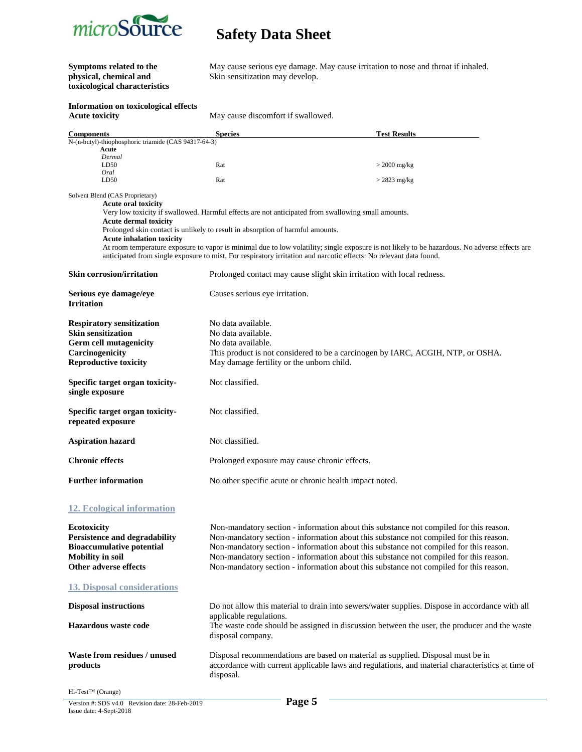

# **toxicological characteristics**

**Symptoms related to the** May cause serious eye damage. May cause irritation to nose and throat if inhaled.<br> **Physical, chemical and** Skin sensitization may develop. Skin sensitization may develop.

## **Information on toxicological effects**

May cause discomfort if swallowed.

| <b>Components</b>                                                                                                                                  | <b>Species</b>                               | <b>Test Results</b>                                                                                                                                                                                                                                                 |
|----------------------------------------------------------------------------------------------------------------------------------------------------|----------------------------------------------|---------------------------------------------------------------------------------------------------------------------------------------------------------------------------------------------------------------------------------------------------------------------|
| N-(n-butyl)-thiophosphoric triamide (CAS 94317-64-3)<br>Acute                                                                                      |                                              |                                                                                                                                                                                                                                                                     |
| Dermal                                                                                                                                             |                                              |                                                                                                                                                                                                                                                                     |
| LD50<br>Oral                                                                                                                                       | Rat                                          | $>$ 2000 mg/kg                                                                                                                                                                                                                                                      |
| LD50                                                                                                                                               | Rat                                          | $>$ 2823 mg/kg                                                                                                                                                                                                                                                      |
| Solvent Blend (CAS Proprietary)<br><b>Acute oral toxicity</b>                                                                                      |                                              |                                                                                                                                                                                                                                                                     |
|                                                                                                                                                    |                                              | Very low toxicity if swallowed. Harmful effects are not anticipated from swallowing small amounts.                                                                                                                                                                  |
| <b>Acute dermal toxicity</b><br>Prolonged skin contact is unlikely to result in absorption of harmful amounts.<br><b>Acute inhalation toxicity</b> |                                              |                                                                                                                                                                                                                                                                     |
|                                                                                                                                                    |                                              | At room temperature exposure to vapor is minimal due to low volatility; single exposure is not likely to be hazardous. No adverse effects are<br>anticipated from single exposure to mist. For respiratory irritation and narcotic effects: No relevant data found. |
| Skin corrosion/irritation                                                                                                                          |                                              | Prolonged contact may cause slight skin irritation with local redness.                                                                                                                                                                                              |
| Serious eye damage/eye<br><b>Irritation</b>                                                                                                        | Causes serious eye irritation.               |                                                                                                                                                                                                                                                                     |
| <b>Respiratory sensitization</b>                                                                                                                   | No data available.                           |                                                                                                                                                                                                                                                                     |
| <b>Skin sensitization</b>                                                                                                                          | No data available.                           |                                                                                                                                                                                                                                                                     |
| <b>Germ cell mutagenicity</b>                                                                                                                      | No data available.                           |                                                                                                                                                                                                                                                                     |
| Carcinogenicity                                                                                                                                    |                                              | This product is not considered to be a carcinogen by IARC, ACGIH, NTP, or OSHA.<br>May damage fertility or the unborn child.                                                                                                                                        |
| <b>Reproductive toxicity</b>                                                                                                                       |                                              |                                                                                                                                                                                                                                                                     |
| Specific target organ toxicity-<br>single exposure                                                                                                 | Not classified.                              |                                                                                                                                                                                                                                                                     |
| Specific target organ toxicity-<br>repeated exposure                                                                                               | Not classified.                              |                                                                                                                                                                                                                                                                     |
| <b>Aspiration hazard</b>                                                                                                                           | Not classified.                              |                                                                                                                                                                                                                                                                     |
| <b>Chronic effects</b>                                                                                                                             |                                              | Prolonged exposure may cause chronic effects.                                                                                                                                                                                                                       |
| <b>Further information</b>                                                                                                                         |                                              | No other specific acute or chronic health impact noted.                                                                                                                                                                                                             |
| 12. Ecological information                                                                                                                         |                                              |                                                                                                                                                                                                                                                                     |
| Ecotoxicity<br><b>Persistence and degradability</b>                                                                                                |                                              | Non-mandatory section - information about this substance not compiled for this reason.<br>Non-mandatory section - information about this substance not compiled for this reason.                                                                                    |
| <b>Bioaccumulative potential</b>                                                                                                                   |                                              | Non-mandatory section - information about this substance not compiled for this reason.                                                                                                                                                                              |
| <b>Mobility in soil</b>                                                                                                                            |                                              | Non-mandatory section - information about this substance not compiled for this reason.                                                                                                                                                                              |
| Other adverse effects                                                                                                                              |                                              | Non-mandatory section - information about this substance not compiled for this reason.                                                                                                                                                                              |
| <b>13. Disposal considerations</b>                                                                                                                 |                                              |                                                                                                                                                                                                                                                                     |
| <b>Disposal instructions</b>                                                                                                                       |                                              | Do not allow this material to drain into sewers/water supplies. Dispose in accordance with all                                                                                                                                                                      |
| Hazardous waste code                                                                                                                               | applicable regulations.<br>disposal company. | The waste code should be assigned in discussion between the user, the producer and the waste                                                                                                                                                                        |
| Waste from residues / unused<br>products                                                                                                           | disposal.                                    | Disposal recommendations are based on material as supplied. Disposal must be in<br>accordance with current applicable laws and regulations, and material characteristics at time of                                                                                 |
| $Hi-Test^{TM}$ (Orange)                                                                                                                            |                                              |                                                                                                                                                                                                                                                                     |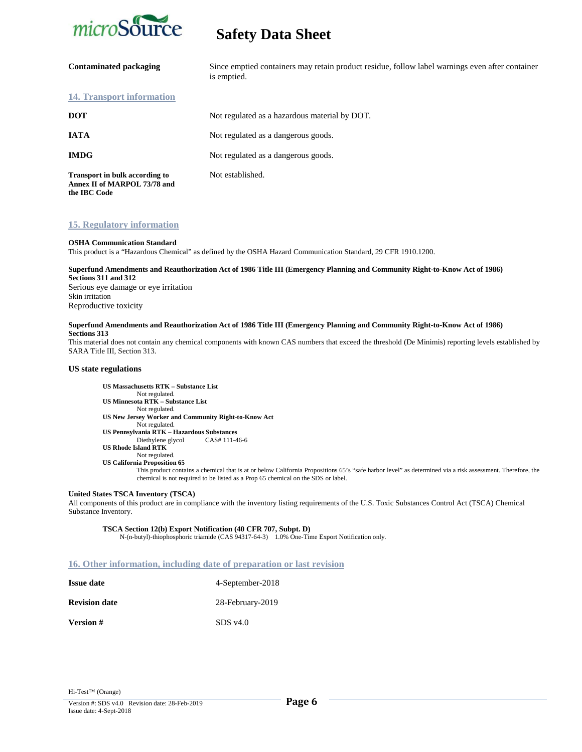

| <b>Contaminated packaging</b>                                                         | Since emptied containers may retain product residue, follow label warnings even after container<br>is emptied. |
|---------------------------------------------------------------------------------------|----------------------------------------------------------------------------------------------------------------|
| 14. Transport information                                                             |                                                                                                                |
| <b>DOT</b>                                                                            | Not regulated as a hazardous material by DOT.                                                                  |
| <b>IATA</b>                                                                           | Not regulated as a dangerous goods.                                                                            |
| <b>IMDG</b>                                                                           | Not regulated as a dangerous goods.                                                                            |
| <b>Transport in bulk according to</b><br>Annex II of MARPOL 73/78 and<br>the IBC Code | Not established.                                                                                               |

### **15. Regulatory information**

### **OSHA Communication Standard**

This product is a "Hazardous Chemical" as defined by the OSHA Hazard Communication Standard, 29 CFR 1910.1200.

### **Superfund Amendments and Reauthorization Act of 1986 Title III (Emergency Planning and Community Right-to-Know Act of 1986) Sections 311 and 312**

Serious eye damage or eye irritation Skin irritation Reproductive toxicity

### **Superfund Amendments and Reauthorization Act of 1986 Title III (Emergency Planning and Community Right-to-Know Act of 1986) Sections 313**

This material does not contain any chemical components with known CAS numbers that exceed the threshold (De Minimis) reporting levels established by SARA Title III, Section 313.

### **US state regulations**

**US Massachusetts RTK – Substance List** Not regulated. **US Minnesota RTK – Substance List** Not regulated. **US New Jersey Worker and Community Right-to-Know Act** Not regulated. **US Pennsylvania RTK – Hazardous Substances** Diethylene glycol CAS# 111-46-6 **US Rhode Island RTK** Not regulated.  **US California Proposition 65**

This product contains a chemical that is at or below California Propositions 65's "safe harbor level" as determined via a risk assessment. Therefore, the chemical is not required to be listed as a Prop 65 chemical on the SDS or label.

### **United States TSCA Inventory (TSCA)**

All components of this product are in compliance with the inventory listing requirements of the U.S. Toxic Substances Control Act (TSCA) Chemical Substance Inventory.

### **TSCA Section 12(b) Export Notification (40 CFR 707, Subpt. D)**

N-(n-butyl)-thiophosphoric triamide (CAS 94317-64-3) 1.0% One-Time Export Notification only.

### **16. Other information, including date of preparation or last revision**

| <b>Issue date</b>    | 4-September-2018       |
|----------------------|------------------------|
| <b>Revision date</b> | 28-February-2019       |
| <b>Version</b> #     | $SDS$ v <sub>4.0</sub> |